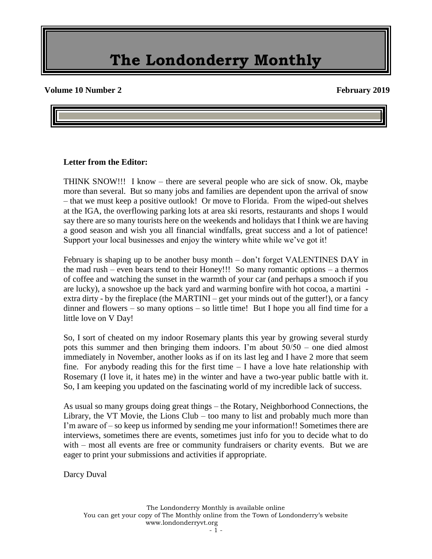#### **Volume 10 Number 2** February 2019

#### **Letter from the Editor:**

THINK SNOW!!! I know – there are several people who are sick of snow. Ok, maybe more than several. But so many jobs and families are dependent upon the arrival of snow – that we must keep a positive outlook! Or move to Florida. From the wiped-out shelves at the IGA, the overflowing parking lots at area ski resorts, restaurants and shops I would say there are so many tourists here on the weekends and holidays that I think we are having a good season and wish you all financial windfalls, great success and a lot of patience! Support your local businesses and enjoy the wintery white while we've got it!

February is shaping up to be another busy month – don't forget VALENTINES DAY in the mad rush – even bears tend to their Honey!!! So many romantic options – a thermos of coffee and watching the sunset in the warmth of your car (and perhaps a smooch if you are lucky), a snowshoe up the back yard and warming bonfire with hot cocoa, a martini extra dirty - by the fireplace (the MARTINI – get your minds out of the gutter!), or a fancy  $d$  dinner and flowers – so many options – so little time! But I hope you all find time for a little love on V Day!

So, I sort of cheated on my indoor Rosemary plants this year by growing several sturdy pots this summer and then bringing them indoors. I'm about 50/50 – one died almost immediately in November, another looks as if on its last leg and I have 2 more that seem fine. For anybody reading this for the first time  $-1$  have a love hate relationship with Rosemary (I love it, it hates me) in the winter and have a two-year public battle with it. So, I am keeping you updated on the fascinating world of my incredible lack of success.

As usual so many groups doing great things – the Rotary, Neighborhood Connections, the Library, the VT Movie, the Lions Club – too many to list and probably much more than I'm aware of – so keep us informed by sending me your information!! Sometimes there are interviews, sometimes there are events, sometimes just info for you to decide what to do with – most all events are free or community fundraisers or charity events. But we are eager to print your submissions and activities if appropriate.

Darcy Duval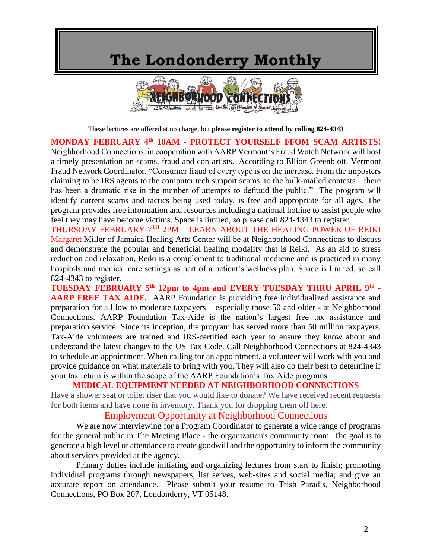

These lectures are offered at no charge, but **please register to attend by calling 824-4343**

#### **MONDAY FEBRUARY 4th 10AM - PROTECT YOURSELF FFOM SCAM ARTISTS!**

Neighborhood Connections, in cooperation with AARP Vermont's Fraud Watch Network will host a timely presentation on scams, fraud and con artists. According to Elliott Greenblott, Vermont Fraud Network Coordinator, "Consumer fraud of every type is on the increase. From the imposters claiming to be IRS agents to the computer tech support scams, to the bulk-mailed contests – there has been a dramatic rise in the number of attempts to defraud the public." The program will identify current scams and tactics being used today, is free and appropriate for all ages. The program provides free information and resources including a national hotline to assist people who feel they may have become victims. Space is limited, so please call 824-4343 to register.

THURSDAY FEBRUARY 7TH 2PM – LEARN ABOUT THE HEALING POWER OF REIKI Margaret Miller of Jamaica Healing Arts Center will be at Neighborhood Connections to discuss and demonstrate the popular and beneficial healing modality that is Reiki. As an aid to stress reduction and relaxation, Reiki is a complement to traditional medicine and is practiced in many hospitals and medical care settings as part of a patient's wellness plan. Space is limited, so call 824-4343 to register.

**TUESDAY FEBRUARY 5th 12pm to 4pm and EVERY TUESDAY THRU APRIL 9th - AARP FREE TAX AIDE.** AARP Foundation is providing free individualized assistance and preparation for all low to moderate taxpayers – especially those 50 and older - at Neighborhood Connections. AARP Foundation Tax-Aide is the nation's largest free tax assistance and preparation service. Since its inception, the program has served more than 50 million taxpayers. Tax-Aide volunteers are trained and IRS-certified each year to ensure they know about and understand the latest changes to the US Tax Code. Call Neighborhood Connections at 824-4343 to schedule an appointment. When calling for an appointment, a volunteer will work with you and provide guidance on what materials to bring with you. They will also do their best to determine if your tax return is within the scope of the AARP Foundation's Tax Aide programs.

#### **MEDICAL EQUIPMENT NEEDED AT NEIGHBORHOOD CONNECTIONS**

Have a shower seat or toilet riser that you would like to donate? We have received recent requests for both items and have none in inventory. Thank you for dropping them off here.

#### Employment Opportunity at Neighborhood Connections

We are now interviewing for a Program Coordinator to generate a wide range of programs for the general public in The Meeting Place - the organization's community room. The goal is to generate a high level of attendance to create goodwill and the opportunity to inform the community about services provided at the agency.

Primary duties include initiating and organizing lectures from start to finish; promoting individual programs through newspapers, list serves, web-sites and social media; and give an accurate report on attendance. Please submit your resume to Trish Paradis, Neighborhood Connections, PO Box 207, Londonderry, VT 05148.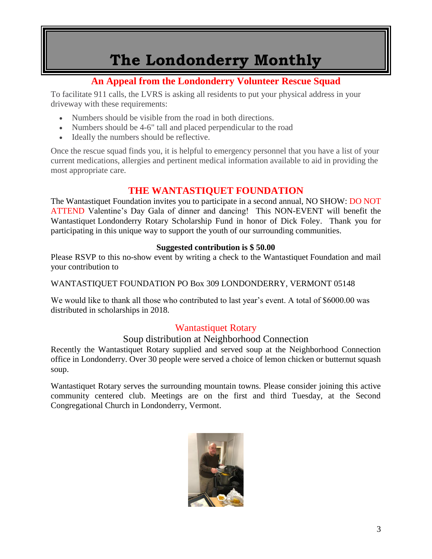### **An Appeal from the Londonderry Volunteer Rescue Squad**

To facilitate 911 calls, the LVRS is asking all residents to put your physical address in your driveway with these requirements:

- Numbers should be visible from the road in both directions.
- Numbers should be 4-6" tall and placed perpendicular to the road
- Ideally the numbers should be reflective.

Once the rescue squad finds you, it is helpful to emergency personnel that you have a list of your current medications, allergies and pertinent medical information available to aid in providing the most appropriate care.

### **THE WANTASTIQUET FOUNDATION**

The Wantastiquet Foundation invites you to participate in a second annual, NO SHOW: DO NOT ATTEND Valentine's Day Gala of dinner and dancing! This NON-EVENT will benefit the Wantastiquet Londonderry Rotary Scholarship Fund in honor of Dick Foley. Thank you for participating in this unique way to support the youth of our surrounding communities.

#### **Suggested contribution is \$ 50.00**

Please RSVP to this no-show event by writing a check to the Wantastiquet Foundation and mail your contribution to

WANTASTIQUET FOUNDATION PO Box 309 LONDONDERRY, VERMONT 05148

We would like to thank all those who contributed to last year's event. A total of \$6000.00 was distributed in scholarships in 2018.

### Wantastiquet Rotary

#### Soup distribution at Neighborhood Connection

Recently the Wantastiquet Rotary supplied and served soup at the Neighborhood Connection office in Londonderry. Over 30 people were served a choice of lemon chicken or butternut squash soup.

Wantastiquet Rotary serves the surrounding mountain towns. Please consider joining this active community centered club. Meetings are on the first and third Tuesday, at the Second Congregational Church in Londonderry, Vermont.

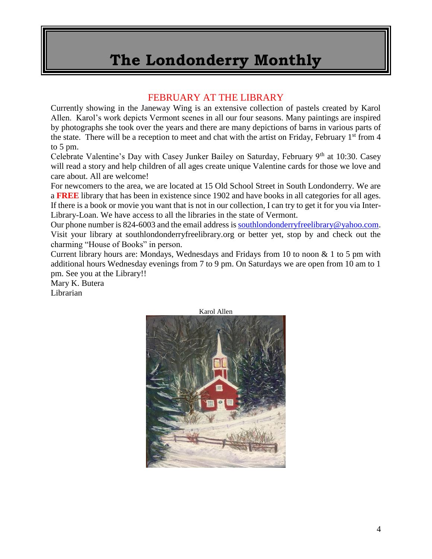#### FEBRUARY AT THE LIBRARY

Currently showing in the Janeway Wing is an extensive collection of pastels created by Karol Allen. Karol's work depicts Vermont scenes in all our four seasons. Many paintings are inspired by photographs she took over the years and there are many depictions of barns in various parts of the state. There will be a reception to meet and chat with the artist on Friday, February  $1<sup>st</sup>$  from 4 to 5 pm.

Celebrate Valentine's Day with Casey Junker Bailey on Saturday, February 9th at 10:30. Casey will read a story and help children of all ages create unique Valentine cards for those we love and care about. All are welcome!

For newcomers to the area, we are located at 15 Old School Street in South Londonderry. We are a **FREE** library that has been in existence since 1902 and have books in all categories for all ages. If there is a book or movie you want that is not in our collection, I can try to get it for you via Inter-Library-Loan. We have access to all the libraries in the state of Vermont.

Our phone number is 824-6003 and the email address i[s southlondonderryfreelibrary@yahoo.com.](mailto:southlondonderryfreelibrary@yahoo.com) Visit your library at southlondonderryfreelibrary.org or better yet, stop by and check out the charming "House of Books" in person.

Current library hours are: Mondays, Wednesdays and Fridays from 10 to noon & 1 to 5 pm with additional hours Wednesday evenings from 7 to 9 pm. On Saturdays we are open from 10 am to 1 pm. See you at the Library!!

Mary K. Butera Librarian

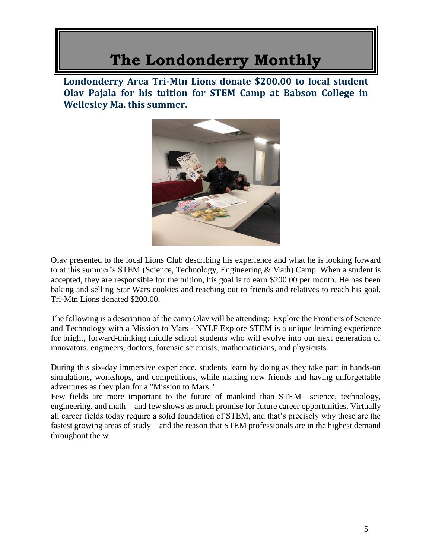**Londonderry Area Tri-Mtn Lions donate \$200.00 to local student Olav Pajala for his tuition for STEM Camp at Babson College in Wellesley Ma. this summer.**



Olav presented to the local Lions Club describing his experience and what he is looking forward to at this summer's STEM (Science, Technology, Engineering & Math) Camp. When a student is accepted, they are responsible for the tuition, his goal is to earn \$200.00 per month. He has been baking and selling Star Wars cookies and reaching out to friends and relatives to reach his goal. Tri-Mtn Lions donated \$200.00.

The following is a description of the camp Olav will be attending: Explore the Frontiers of Science and Technology with a Mission to Mars - NYLF Explore STEM is a unique learning experience for bright, forward-thinking middle school students who will evolve into our next generation of innovators, engineers, doctors, forensic scientists, mathematicians, and physicists.

During this six-day immersive experience, students learn by doing as they take part in hands-on simulations, workshops, and competitions, while making new friends and having unforgettable adventures as they plan for a "Mission to Mars."

Few fields are more important to the future of mankind than STEM—science, technology, engineering, and math—and few shows as much promise for future career opportunities. Virtually all career fields today require a solid foundation of STEM, and that's precisely why these are the fastest growing areas of study—and the reason that STEM professionals are in the highest demand throughout the w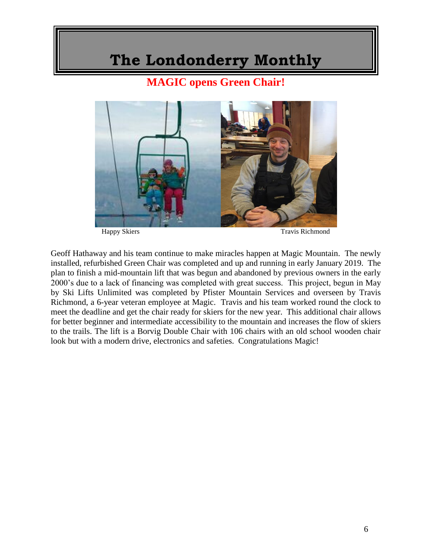**MAGIC opens Green Chair!**



Happy Skiers Travis Richmond

Geoff Hathaway and his team continue to make miracles happen at Magic Mountain. The newly installed, refurbished Green Chair was completed and up and running in early January 2019. The plan to finish a mid-mountain lift that was begun and abandoned by previous owners in the early 2000's due to a lack of financing was completed with great success. This project, begun in May by Ski Lifts Unlimited was completed by Pfister Mountain Services and overseen by Travis Richmond, a 6-year veteran employee at Magic. Travis and his team worked round the clock to meet the deadline and get the chair ready for skiers for the new year. This additional chair allows for better beginner and intermediate accessibility to the mountain and increases the flow of skiers to the trails. The lift is a Borvig Double Chair with 106 chairs with an old school wooden chair look but with a modern drive, electronics and safeties. Congratulations Magic!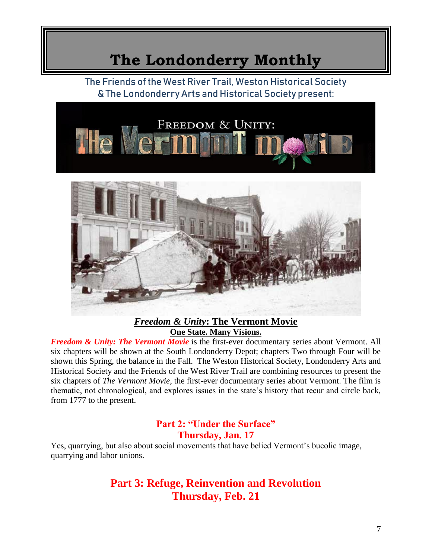The Friends of the West River Trail, Weston Historical Society & The Londonderry Arts and Historical Society present:



#### *Freedom & Unity***: The Vermont Movie One State. Many Visions.**

*Freedom & Unity: The Vermont Movie* is the first-ever documentary series about Vermont. All six chapters will be shown at the South Londonderry Depot; chapters Two through Four will be shown this Spring, the balance in the Fall. The Weston Historical Society, Londonderry Arts and Historical Society and the Friends of the West River Trail are combining resources to present the six chapters of *The Vermont Movie*, the first-ever documentary series about Vermont. The film is thematic, not chronological, and explores issues in the state's history that recur and circle back, from 1777 to the present.

#### **Part 2: "Under the Surface" Thursday, Jan. 17**

Yes, quarrying, but also about social movements that have belied Vermont's bucolic image, quarrying and labor unions.

### **Part 3: Refuge, Reinvention and Revolution Thursday, Feb. 21**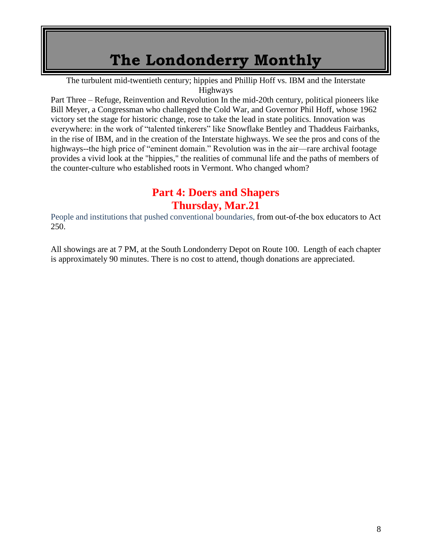The turbulent mid-twentieth century; hippies and Phillip Hoff vs. IBM and the Interstate Highways

Part Three – Refuge, Reinvention and Revolution In the mid-20th century, political pioneers like Bill Meyer, a Congressman who challenged the Cold War, and Governor Phil Hoff, whose 1962 victory set the stage for historic change, rose to take the lead in state politics. Innovation was everywhere: in the work of "talented tinkerers" like Snowflake Bentley and Thaddeus Fairbanks, in the rise of IBM, and in the creation of the Interstate highways. We see the pros and cons of the highways--the high price of "eminent domain." Revolution was in the air—rare archival footage provides a vivid look at the "hippies," the realities of communal life and the paths of members of the counter-culture who established roots in Vermont. Who changed whom?

### **Part 4: Doers and Shapers Thursday, Mar.21**

People and institutions that pushed conventional boundaries, from out-of-the box educators to Act 250.

All showings are at 7 PM, at the South Londonderry Depot on Route 100. Length of each chapter is approximately 90 minutes. There is no cost to attend, though donations are appreciated.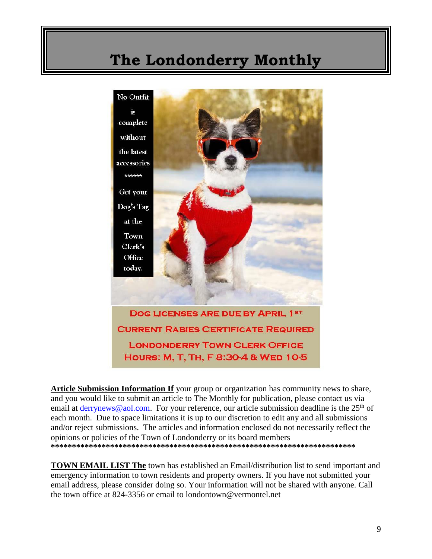

**Article Submission Information If** your group or organization has community news to share, and you would like to submit an article to The Monthly for publication, please contact us via email at [derrynews@aol.com.](mailto:derrynews@aol.com) For your reference, our article submission deadline is the 25<sup>th</sup> of each month. Due to space limitations it is up to our discretion to edit any and all submissions and/or reject submissions. The articles and information enclosed do not necessarily reflect the opinions or policies of the Town of Londonderry or its board members **\*\*\*\*\*\*\*\*\*\*\*\*\*\*\*\*\*\*\*\*\*\*\*\*\*\*\*\*\*\*\*\*\*\*\*\*\*\*\*\*\*\*\*\*\*\*\*\*\*\*\*\*\*\*\*\*\*\*\*\*\*\*\*\*\*\*\*\*\*\*\*\***

**TOWN EMAIL LIST The** town has established an Email/distribution list to send important and emergency information to town residents and property owners. If you have not submitted your email address, please consider doing so. Your information will not be shared with anyone. Call the town office at 824-3356 or email to londontown@vermontel.net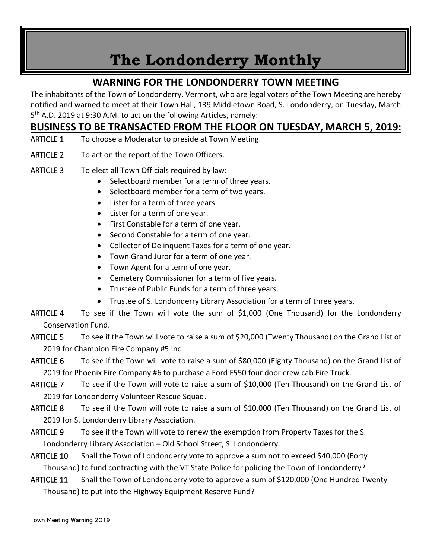### **WARNING FOR THE LONDONDERRY TOWN MEETING**

The inhabitants of the Town of Londonderry, Vermont, who are legal voters of the Town Meeting are hereby notified and warned to meet at their Town Hall, 139 Middletown Road, S. Londonderry, on Tuesday, March 5<sup>th</sup> A.D. 2019 at 9:30 A.M. to act on the following Articles, namely:

### **BUSINESS TO BE TRANSACTED FROM THE FLOOR ON TUESDAY, MARCH 5, 2019:**

- ARTICLE 1 To choose a Moderator to preside at Town Meeting.
- ARTICLE 2 To act on the report of the Town Officers.
- ARTICLE 3 To elect all Town Officials required by law:
	- Selectboard member for a term of three years.
	- Selectboard member for a term of two years.
	- Lister for a term of three years.
	- Lister for a term of one year.
	- First Constable for a term of one year.
	- Second Constable for a term of one year.
	- Collector of Delinquent Taxes for a term of one year.
	- Town Grand Juror for a term of one year.
	- Town Agent for a term of one year.
	- Cemetery Commissioner for a term of five years.
	- Trustee of Public Funds for a term of three years.
	- Trustee of S. Londonderry Library Association for a term of three years.
- ARTICLE 4 To see if the Town will vote the sum of \$1,000 (One Thousand) for the Londonderry Conservation Fund.
- ARTICLE 5 To see if the Town will vote to raise a sum of \$20,000 (Twenty Thousand) on the Grand List of 2019 for Champion Fire Company #5 Inc.
- ARTICLE 6 To see if the Town will vote to raise a sum of \$80,000 (Eighty Thousand) on the Grand List of 2019 for Phoenix Fire Company #6 to purchase a Ford F550 four door crew cab Fire Truck.
- ARTICLE 7 To see if the Town will vote to raise a sum of \$10,000 (Ten Thousand) on the Grand List of 2019 for Londonderry Volunteer Rescue Squad.
- ARTICLE 8 To see if the Town will vote to raise a sum of \$10,000 (Ten Thousand) on the Grand List of 2019 for S. Londonderry Library Association.
- ARTICLE 9 To see if the Town will vote to renew the exemption from Property Taxes for the S. Londonderry Library Association – Old School Street, S. Londonderry.
- ARTICLE 10 Shall the Town of Londonderry vote to approve a sum not to exceed \$40,000 (Forty Thousand) to fund contracting with the VT State Police for policing the Town of Londonderry?
- ARTICLE 11 Shall the Town of Londonderry vote to approve a sum of \$120,000 (One Hundred Twenty Thousand) to put into the Highway Equipment Reserve Fund?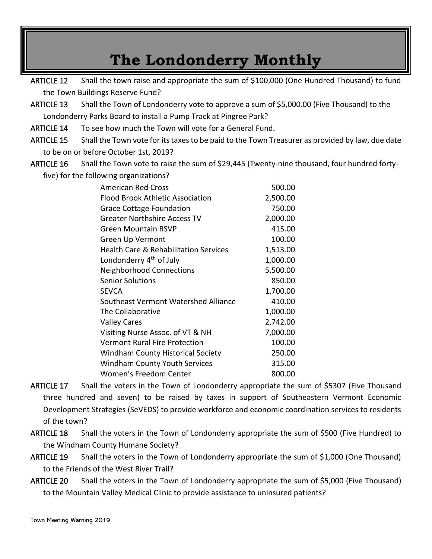ARTICLE 12 Shall the town raise and appropriate the sum of \$100,000 (One Hundred Thousand) to fund the Town Buildings Reserve Fund?

- ARTICLE 13 Shall the Town of Londonderry vote to approve a sum of \$5,000.00 (Five Thousand) to the Londonderry Parks Board to install a Pump Track at Pingree Park?
- ARTICLE 14 To see how much the Town will vote for a General Fund.
- ARTICLE 15 Shall the Town vote for its taxes to be paid to the Town Treasurer as provided by law, due date to be on or before October 1st, 2019?
- ARTICLE 16 Shall the Town vote to raise the sum of \$29,445 (Twenty-nine thousand, four hundred forty-

five) for the following organizations?

| <b>American Red Cross</b>                        | 500.00   |
|--------------------------------------------------|----------|
| Flood Brook Athletic Association                 | 2,500.00 |
| <b>Grace Cottage Foundation</b>                  | 750.00   |
| <b>Greater Northshire Access TV</b>              | 2,000.00 |
| Green Mountain RSVP                              | 415.00   |
| Green Up Vermont                                 | 100.00   |
| <b>Health Care &amp; Rehabilitation Services</b> | 1,513.00 |
| Londonderry 4 <sup>th</sup> of July              | 1,000.00 |
| <b>Neighborhood Connections</b>                  | 5,500.00 |
| <b>Senior Solutions</b>                          | 850.00   |
| <b>SEVCA</b>                                     | 1,700.00 |
| Southeast Vermont Watershed Alliance             | 410.00   |
| The Collaborative                                | 1,000.00 |
| <b>Valley Cares</b>                              | 2,742.00 |
| Visiting Nurse Assoc. of VT & NH                 | 7,000.00 |
| <b>Vermont Rural Fire Protection</b>             | 100.00   |
| <b>Windham County Historical Society</b>         | 250.00   |
| <b>Windham County Youth Services</b>             | 315.00   |
| Women's Freedom Center                           | 800.00   |

- ARTICLE 17 Shall the voters in the Town of Londonderry appropriate the sum of \$5307 (Five Thousand three hundred and seven) to be raised by taxes in support of Southeastern Vermont Economic Development Strategies (SeVEDS) to provide workforce and economic coordination services to residents of the town?
- ARTICLE 18 Shall the voters in the Town of Londonderry appropriate the sum of \$500 (Five Hundred) to the Windham County Humane Society?
- ARTICLE 19 Shall the voters in the Town of Londonderry appropriate the sum of \$1,000 (One Thousand) to the Friends of the West River Trail?
- ARTICLE 20 Shall the voters in the Town of Londonderry appropriate the sum of \$5,000 (Five Thousand) to the Mountain Valley Medical Clinic to provide assistance to uninsured patients?